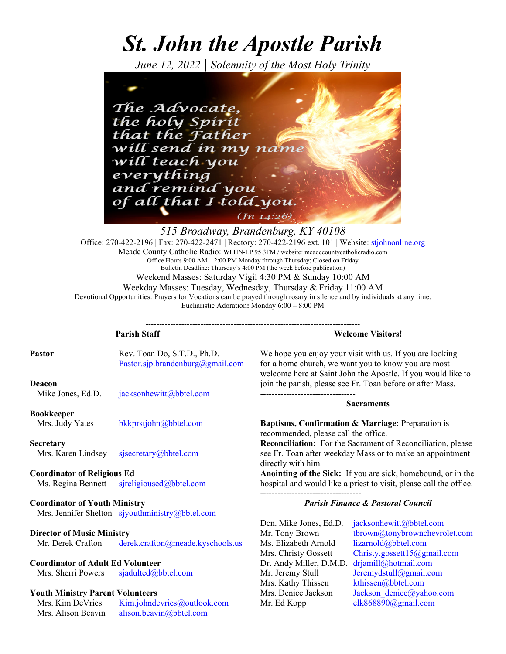# *St. John the Apostle Parish*

*June 12, 2022 | Solemnity of the Most Holy Trinity*



*515 Broadway, Brandenburg, KY 40108*  Office: 270-422-2196 | Fax: 270-422-2471 | Rectory: 270-422-2196 ext. 101 | Website: stjohnonline.org Meade County Catholic Radio: WLHN-LP 95.3FM / website: meadecountycatholicradio.com Office Hours 9:00 AM – 2:00 PM Monday through Thursday; Closed on Friday Bulletin Deadline: Thursday's 4:00 PM (the week before publication) Weekend Masses: Saturday Vigil 4:30 PM & Sunday 10:00 AM Weekday Masses: Tuesday, Wednesday, Thursday & Friday 11:00 AM Devotional Opportunities: Prayers for Vocations can be prayed through rosary in silence and by individuals at any time. Eucharistic Adoration**:** Monday 6:00 – 8:00 PM

| <b>Parish Staff</b>                                                                     |                                                                 | <b>Welcome Visitors!</b>                        |                                                                                                                                                                                 |
|-----------------------------------------------------------------------------------------|-----------------------------------------------------------------|-------------------------------------------------|---------------------------------------------------------------------------------------------------------------------------------------------------------------------------------|
| Pastor                                                                                  | Rev. Toan Do, S.T.D., Ph.D.<br>Pastor.sjp.brandenburg@gmail.com |                                                 | We hope you enjoy your visit with us. If you are looking<br>for a home church, we want you to know you are most<br>welcome here at Saint John the Apostle. If you would like to |
| Deacon<br>Mike Jones, Ed.D.                                                             | jacksonhewitt@bbtel.com                                         |                                                 | join the parish, please see Fr. Toan before or after Mass.<br><b>Sacraments</b>                                                                                                 |
| <b>Bookkeeper</b>                                                                       |                                                                 |                                                 |                                                                                                                                                                                 |
| Mrs. Judy Yates                                                                         | bkkprstjohn@bbtel.com                                           | recommended, please call the office.            | Baptisms, Confirmation & Marriage: Preparation is                                                                                                                               |
| Secretary<br>Mrs. Karen Lindsey                                                         | sjsecretary@bbtel.com                                           | directly with him.                              | <b>Reconciliation:</b> For the Sacrament of Reconciliation, please<br>see Fr. Toan after weekday Mass or to make an appointment                                                 |
| <b>Coordinator of Religious Ed</b>                                                      |                                                                 |                                                 | Anointing of the Sick: If you are sick, homebound, or in the                                                                                                                    |
| Ms. Regina Bennett                                                                      | sjreligioused@bbtel.com                                         |                                                 | hospital and would like a priest to visit, please call the office.                                                                                                              |
| <b>Coordinator of Youth Ministry</b><br>Mrs. Jennifer Shelton sjyouthministry@bbtel.com |                                                                 | <b>Parish Finance &amp; Pastoral Council</b>    |                                                                                                                                                                                 |
|                                                                                         |                                                                 | Den. Mike Jones, Ed.D.                          | jacksonhewitt@bbtel.com                                                                                                                                                         |
| <b>Director of Music Ministry</b>                                                       |                                                                 | Mr. Tony Brown                                  | tbrown@tonybrownchevrolet.com                                                                                                                                                   |
| Mr. Derek Crafton                                                                       | derek.crafton@meade.kyschools.us                                | Ms. Elizabeth Arnold                            | lizarnold@bbtel.com                                                                                                                                                             |
| <b>Coordinator of Adult Ed Volunteer</b>                                                |                                                                 | Mrs. Christy Gossett<br>Dr. Andy Miller, D.M.D. | Christy.gossett15@gmail.com<br>drjamill@hotmail.com                                                                                                                             |
| Mrs. Sherri Powers                                                                      | sjadulted@bbtel.com                                             | Mr. Jeremy Stull                                | Jeremydstull@gmail.com                                                                                                                                                          |
| <b>Youth Ministry Parent Volunteers</b>                                                 |                                                                 | Mrs. Kathy Thissen<br>Mrs. Denice Jackson       | kthissen@bbtel.com<br>Jackson denice@yahoo.com                                                                                                                                  |
| Mrs. Kim DeVries<br>Mrs. Alison Beavin                                                  | Kim.johndevries@outlook.com<br>alison.beavin@bbtel.com          | Mr. Ed Kopp                                     | elk868890@gmail.com                                                                                                                                                             |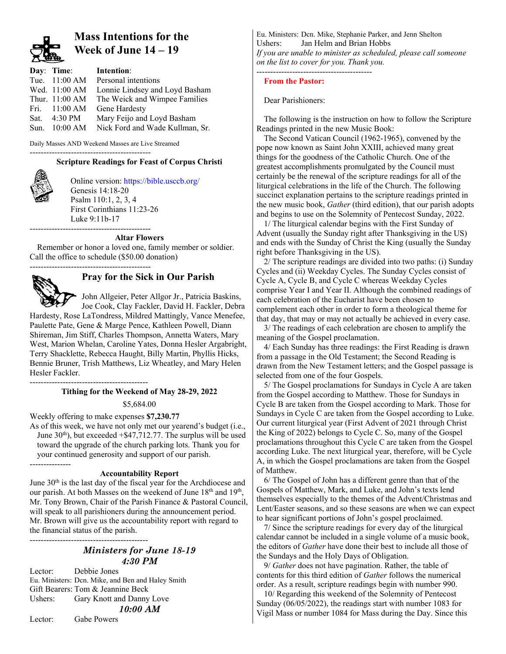

## **Mass Intentions for the Week of June 14 – 19**

| Day: Time:              | Intention:                      |
|-------------------------|---------------------------------|
| Tue. 11:00 AM           | Personal intentions             |
| Wed. 11:00 AM           | Lonnie Lindsey and Loyd Basham  |
| Thur. 11:00 AM          | The Weick and Wimpee Families   |
| Fri. $11:00 \text{ AM}$ | Gene Hardesty                   |
| Sat. $4:30 \text{ PM}$  | Mary Feijo and Loyd Basham      |
| Sun. $10:00$ AM         | Nick Ford and Wade Kullman, Sr. |

Daily Masses AND Weekend Masses are Live Streamed

#### -------------------------------------------- **Scripture Readings for Feast of Corpus Christi**



Online version: https://bible.usccb.org/ Genesis 14:18-20 Psalm 110:1, 2, 3, 4 First Corinthians 11:23-26 Luke 9:11b-17 --------------------------------------------

#### **Altar Flowers**

Remember or honor a loved one, family member or soldier. Call the office to schedule (\$50.00 donation)

--------------------------------------------



## **Pray for the Sick in Our Parish**

 John Allgeier, Peter Allgor Jr., Patricia Baskins, Joe Cook, Clay Fackler, David H. Fackler, Debra

Hardesty, Rose LaTondress, Mildred Mattingly, Vance Menefee, Paulette Pate, Gene & Marge Pence, Kathleen Powell, Diann Shireman, Jim Stiff, Charles Thompson, Annetta Waters, Mary West, Marion Whelan, Caroline Yates, Donna Hesler Argabright, Terry Shacklette, Rebecca Haught, Billy Martin, Phyllis Hicks, Bennie Bruner, Trish Matthews, Liz Wheatley, and Mary Helen Hesler Fackler.

------------------------------------------- **Tithing for the Weekend of May 28-29, 2022**

\$5,684.00

Weekly offering to make expenses **\$7,230.77** 

As of this week, we have not only met our yearend's budget (i.e., June  $30<sup>th</sup>$ ), but exceeded  $+$ \$47,712.77. The surplus will be used toward the upgrade of the church parking lots. Thank you for your continued generosity and support of our parish. ---------------

#### **Accountability Report**

June 30<sup>th</sup> is the last day of the fiscal year for the Archdiocese and our parish. At both Masses on the weekend of June 18<sup>th</sup> and 19<sup>th</sup>, Mr. Tony Brown, Chair of the Parish Finance & Pastoral Council, will speak to all parishioners during the announcement period. Mr. Brown will give us the accountability report with regard to the financial status of the parish.

-------------------------------------------

## *Ministers for June 18-19 4:30 PM*

Lector: Debbie Jones Eu. Ministers: Dcn. Mike, and Ben and Haley Smith Gift Bearers: Tom & Jeannine Beck Ushers: Gary Knott and Danny Love

## *10:00 AM*

Lector: Gabe Powers

Eu. Ministers: Dcn. Mike, Stephanie Parker, and Jenn Shelton Ushers: Jan Helm and Brian Hobbs *If you are unable to minister as scheduled, please call someone on the list to cover for you. Thank you.* ------------------------------------------

## **From the Pastor:**

Dear Parishioners:

The following is the instruction on how to follow the Scripture Readings printed in the new Music Book:

The Second Vatican Council (1962-1965), convened by the pope now known as Saint John XXIII, achieved many great things for the goodness of the Catholic Church. One of the greatest accomplishments promulgated by the Council must certainly be the renewal of the scripture readings for all of the liturgical celebrations in the life of the Church. The following succinct explanation pertains to the scripture readings printed in the new music book, *Gather* (third edition), that our parish adopts and begins to use on the Solemnity of Pentecost Sunday, 2022.

1/ The liturgical calendar begins with the First Sunday of Advent (usually the Sunday right after Thanksgiving in the US) and ends with the Sunday of Christ the King (usually the Sunday right before Thanksgiving in the US).

2/ The scripture readings are divided into two paths: (i) Sunday Cycles and (ii) Weekday Cycles. The Sunday Cycles consist of Cycle A, Cycle B, and Cycle C whereas Weekday Cycles comprise Year I and Year II. Although the combined readings of each celebration of the Eucharist have been chosen to complement each other in order to form a theological theme for that day, that may or may not actually be achieved in every case.

3/ The readings of each celebration are chosen to amplify the meaning of the Gospel proclamation.

4/ Each Sunday has three readings: the First Reading is drawn from a passage in the Old Testament; the Second Reading is drawn from the New Testament letters; and the Gospel passage is selected from one of the four Gospels.

5/ The Gospel proclamations for Sundays in Cycle A are taken from the Gospel according to Matthew. Those for Sundays in Cycle B are taken from the Gospel according to Mark. Those for Sundays in Cycle C are taken from the Gospel according to Luke. Our current liturgical year (First Advent of 2021 through Christ the King of 2022) belongs to Cycle C. So, many of the Gospel proclamations throughout this Cycle C are taken from the Gospel according Luke. The next liturgical year, therefore, will be Cycle A, in which the Gospel proclamations are taken from the Gospel of Matthew.

6/ The Gospel of John has a different genre than that of the Gospels of Matthew, Mark, and Luke, and John's texts lend themselves especially to the themes of the Advent/Christmas and Lent/Easter seasons, and so these seasons are when we can expect to hear significant portions of John's gospel proclaimed.

7/ Since the scripture readings for every day of the liturgical calendar cannot be included in a single volume of a music book, the editors of *Gather* have done their best to include all those of the Sundays and the Holy Days of Obligation.

9/ *Gather* does not have pagination. Rather, the table of contents for this third edition of *Gather* follows the numerical order. As a result, scripture readings begin with number 990.

10/ Regarding this weekend of the Solemnity of Pentecost Sunday (06/05/2022), the readings start with number 1083 for Vigil Mass or number 1084 for Mass during the Day. Since this